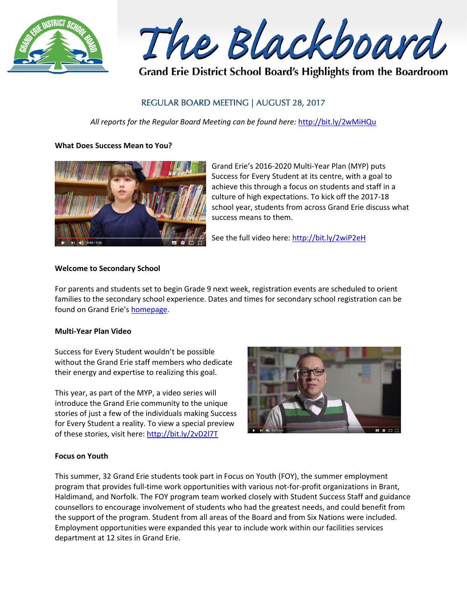

The Blackboard

Grand Erie District School Board's Highlights from the Boardroom

# REGULAR BOARD MEETING | AUGUST 28, 2017

*All reports for the Regular Board Meeting can be found here:* <http://bit.ly/2wMiHQu>

# **What Does Success Mean to You?**



Grand Erie's 2016-2020 Multi-Year Plan (MYP) puts Success for Every Student at its centre, with a goal to achieve this through a focus on students and staff in a culture of high expectations. To kick off the 2017-18 school year, students from across Grand Erie discuss what success means to them.

See the full video here:<http://bit.ly/2wiP2eH>

# **Welcome to Secondary School**

For parents and students set to begin Grade 9 next week, registration events are scheduled to orient families to the secondary school experience. Dates and times for secondary school registration can be found on Grand Erie's [homepage.](http://www.granderie.ca/)

# **Multi-Year Plan Video**

Success for Every Student wouldn't be possible without the Grand Erie staff members who dedicate their energy and expertise to realizing this goal.

This year, as part of the MYP, a video series will introduce the Grand Erie community to the unique stories of just a few of the individuals making Success for Every Student a reality. To view a special preview of these stories, visit here[: http://bit.ly/2vD2l7T](http://bit.ly/2vD2l7T)



# **Focus on Youth**

This summer, 32 Grand Erie students took part in Focus on Youth (FOY), the summer employment program that provides full-time work opportunities with various not-for-profit organizations in Brant, Haldimand, and Norfolk. The FOY program team worked closely with Student Success Staff and guidance counsellors to encourage involvement of students who had the greatest needs, and could benefit from the support of the program. Student from all areas of the Board and from Six Nations were included. Employment opportunities were expanded this year to include work within our facilities services department at 12 sites in Grand Erie.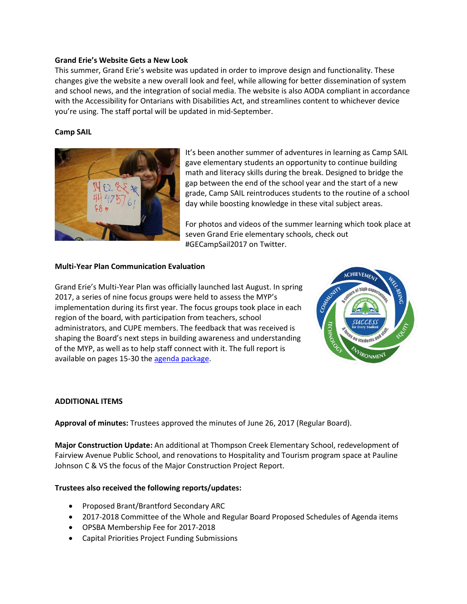## **Grand Erie's Website Gets a New Look**

This summer, Grand Erie's website was updated in order to improve design and functionality. These changes give the website a new overall look and feel, while allowing for better dissemination of system and school news, and the integration of social media. The website is also AODA compliant in accordance with the Accessibility for Ontarians with Disabilities Act, and streamlines content to whichever device you're using. The staff portal will be updated in mid-September.

## **Camp SAIL**



It's been another summer of adventures in learning as Camp SAIL gave elementary students an opportunity to continue building math and literacy skills during the break. Designed to bridge the gap between the end of the school year and the start of a new grade, Camp SAIL reintroduces students to the routine of a school day while boosting knowledge in these vital subject areas.

For photos and videos of the summer learning which took place at seven Grand Erie elementary schools, check out #GECampSail2017 on Twitter.

### **Multi-Year Plan Communication Evaluation**

Grand Erie's Multi-Year Plan was officially launched last August. In spring 2017, a series of nine focus groups were held to assess the MYP's implementation during its first year. The focus groups took place in each region of the board, with participation from teachers, school administrators, and CUPE members. The feedback that was received is shaping the Board's next steps in building awareness and understanding of the MYP, as well as to help staff connect with it. The full report is available on pages 15-30 the [agenda package.](http://www.granderie.ca/application/files/1315/0368/7382/2017_08_28_Board_Package.pdf)



### **ADDITIONAL ITEMS**

**Approval of minutes:** Trustees approved the minutes of June 26, 2017 (Regular Board).

**Major Construction Update:** An additional at Thompson Creek Elementary School, redevelopment of Fairview Avenue Public School, and renovations to Hospitality and Tourism program space at Pauline Johnson C & VS the focus of the Major Construction Project Report.

### **Trustees also received the following reports/updates:**

- Proposed Brant/Brantford Secondary ARC
- 2017-2018 Committee of the Whole and Regular Board Proposed Schedules of Agenda items
- OPSBA Membership Fee for 2017-2018
- Capital Priorities Project Funding Submissions